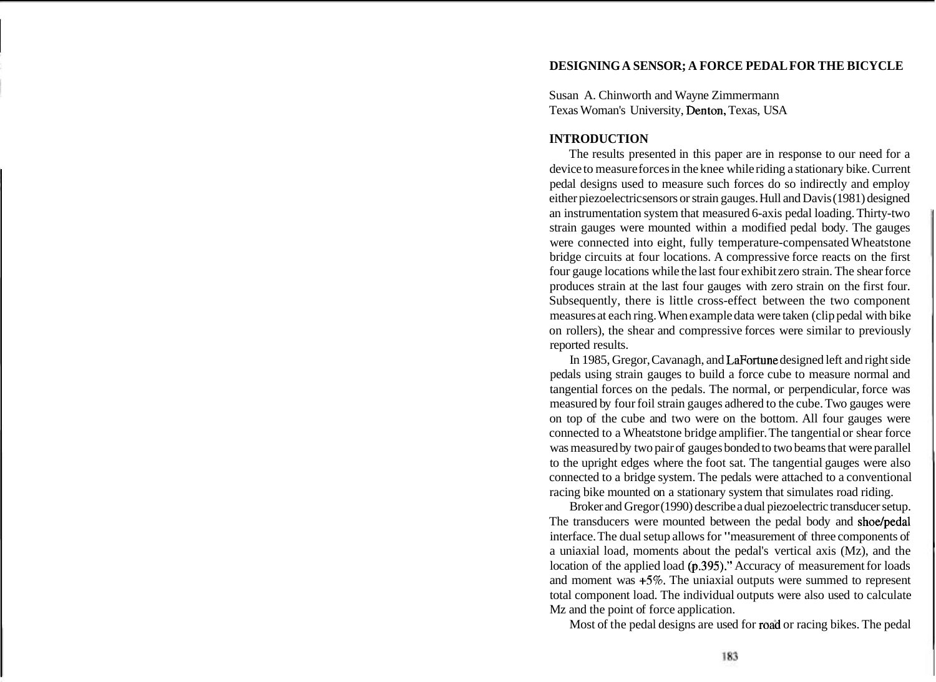# **DESIGNING A SENSOR; A FORCE PEDAL FOR THE BICYCLE**

Susan A. Chinworth and Wayne Zimmermann Texas Woman's University, Denton, Texas, USA

### **INTRODUCTION**

The results presented in this paper are in response to our need for a device to measure forces in the knee while riding a stationary bike. Current pedal designs used to measure such forces do so indirectly and employ either piezoelectric sensors or strain gauges. Hull and Davis (1981) designed an instrumentation system that measured 6-axis pedal loading. Thirty-two strain gauges were mounted within a modified pedal body. The gauges were connected into eight, fully temperature-compensated Wheatstone bridge circuits at four locations. A compressive force reacts on the first four gauge locations while the last four exhibit zero strain. The shear force produces strain at the last four gauges with zero strain on the first four. Subsequently, there is little cross-effect between the two component measures at each ring. When example data were taken (clip pedal with bike on rollers), the shear and compressive forces were similar to previously reported results.

In 1985, Gregor, Cavanagh, and LaFortune designed left and right side pedals using strain gauges to build a force cube to measure normal and tangential forces on the pedals. The normal, or perpendicular, force was measured by four foil strain gauges adhered to the cube. Two gauges were on top of the cube and two were on the bottom. All four gauges were connected to a Wheatstone bridge amplifier. The tangential or shear force was measured by two pair of gauges bonded to two beams that were parallel to the upright edges where the foot sat. The tangential gauges were also connected to a bridge system. The pedals were attached to a conventional racing bike mounted on a stationary system that simulates road riding.

Broker and Gregor (1990) describe a dual piezoelectric transducer setup. The transducers were mounted between the pedal body and shoe/pedal interface. The dual setup allows for "measurement of three components of a uniaxial load, moments about the pedal's vertical axis (Mz), and the location of the applied load  $(p.395)$ ." Accuracy of measurement for loads and moment was **+5%.** The uniaxial outputs were summed to represent total component load. The individual outputs were also used to calculate Mz and the point of force application.

Most of the pedal designs are used for road or racing bikes. The pedal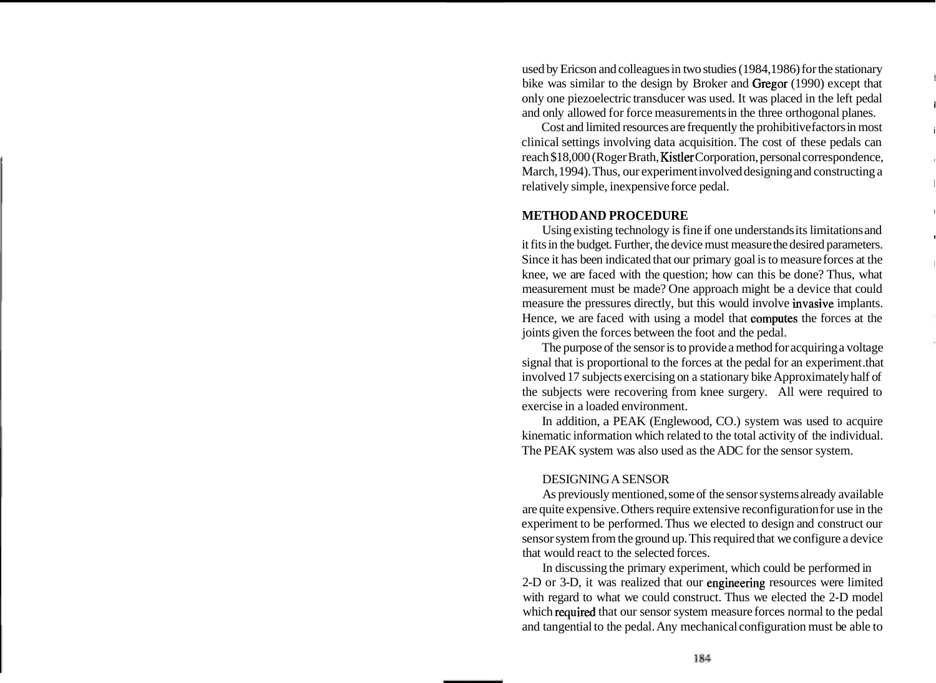used by Ericson and colleagues in two studies (1984,1986) for the stationary bike was similar to the design by Broker and Gregor (1990) except that only one piezoelectric transducer was used. It was placed in the left pedal <sup>l</sup> and only allowed for force measurements in the three orthogonal planes.

Cost and limited resources are frequently the prohibitive factors in most <sup>i</sup> clinical settings involving data acquisition. The cost of these pedals can reach \$18,000 (Roger Brath, Kistler Corporation, personal correspondence, , March, 1994). Thus, our experiment involved designing and constructing a relatively simple, inexpensive force pedal.

### **METHOD AND PROCEDURE** <sup>I</sup>

Using existing technology is fine if one understands its limitations and it fits in the budget. Further, the device must measure the desired parameters. Since it has been indicated that our primary goal is to measure forces at the knee, we are faced with the question; how can this be done? Thus, what measurement must be made? One approach might be a device that could measure the pressures directly, but this would involve invasive implants. Hence, we are faced with using a model that oomputes the forces at the joints given the forces between the foot and the pedal.

The purpose of the sensor is to provide a method for acquiring a voltage signal that is proportional to the forces at the pedal for an experiment .that involved 17 subjects exercising on a stationary bike Approximately half of the subjects were recovering from knee surgery. All were required to exercise in a loaded environment.

In addition, a PEAK (Englewood, CO.) system was used to acquire kinematic information which related to the total activity of the individual. The PEAK system was also used as the ADC for the sensor system.

### DESIGNING A SENSOR

As previously mentioned, some of the sensor systems already available are quite expensive. Others require extensive reconfiguration for use in the experiment to be performed. Thus we elected to design and construct our sensor system from the ground up. This required that we configure a device that would react to the selected forces.

In discussing the primary experiment, which could be performed in 2-D or 3-D, it was realized that our engineering resources were limited with regard to what we could construct. Thus we elected the 2-D model which required that our sensor system measure forces normal to the pedal and tangential to the pedal. Any mechanical configuration must be able to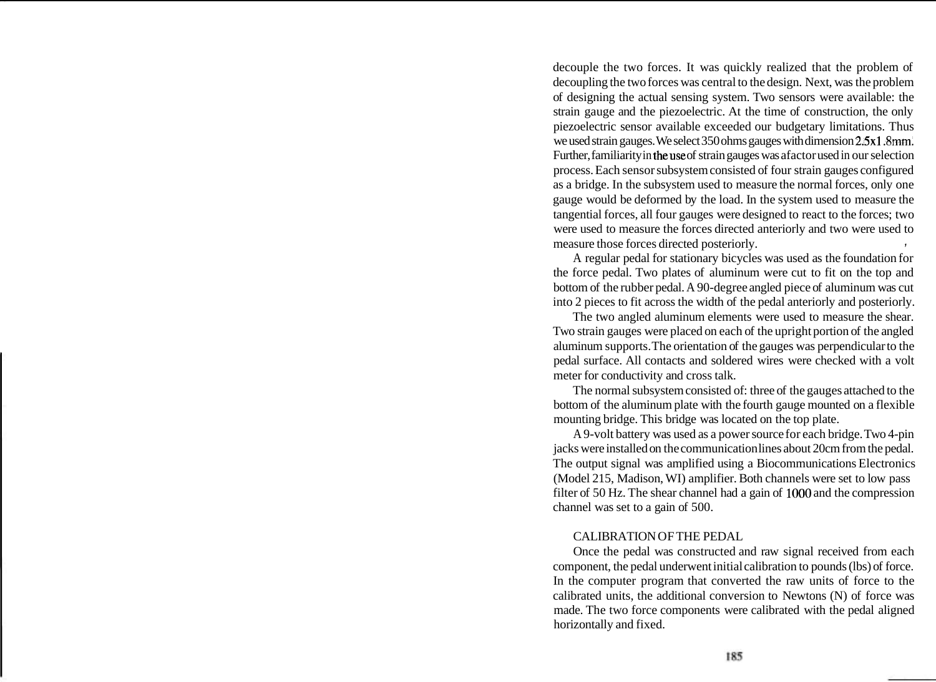decouple the two forces. It was quickly realized that the problem of decoupling the two forces was central to the design. Next, was the problem of designing the actual sensing system. Two sensors were available: the strain gauge and the piezoelectric. At the time of construction, the only piezoelectric sensor available exceeded our budgetary limitations. Thus we used strain gauges. We select 350 ohms gauges with dimension 2.5~1 **.8mm.**  Further, familiarity in theuse of strain gauges was afactor used in our selection process. Each sensor subsystem consisted of four strain gauges configured as a bridge. In the subsystem used to measure the normal forces, only one gauge would be deformed by the load. In the system used to measure the tangential forces, all four gauges were designed to react to the forces; two were used to measure the forces directed anteriorly and two were used to measure those forces directed posteriorly. **,** 

A regular pedal for stationary bicycles was used as the foundation for the force pedal. Two plates of aluminum were cut to fit on the top and bottom of the rubber pedal. A 90-degree angled piece of aluminum was cut into 2 pieces to fit across the width of the pedal anteriorly and posteriorly.

The two angled aluminum elements were used to measure the shear. Two strain gauges were placed on each of the upright portion of the angled aluminum supports. The orientation of the gauges was perpendicular to the pedal surface. All contacts and soldered wires were checked with a volt meter for conductivity and cross talk.

The normal subsystem consisted of: three of the gauges attached to the bottom of the aluminum plate with the fourth gauge mounted on a flexible mounting bridge. This bridge was located on the top plate.

A 9-volt battery was used as a power source for each bridge. Two 4-pin jacks were installed on the communication lines about 20cm from the pedal. The output signal was amplified using a Biocommunications Electronics (Model 215, Madison, WI) amplifier. Both channels were set to low pass filter of 50 Hz. The shear channel had a gain of 1000 and the compression channel was set to a gain of 500.

### CALIBRATION OF THE PEDAL

Once the pedal was constructed and raw signal received from each component, the pedal underwent initial calibration to pounds (lbs) of force. In the computer program that converted the raw units of force to the calibrated units, the additional conversion to Newtons (N) of force was made. The two force components were calibrated with the pedal aligned horizontally and fixed.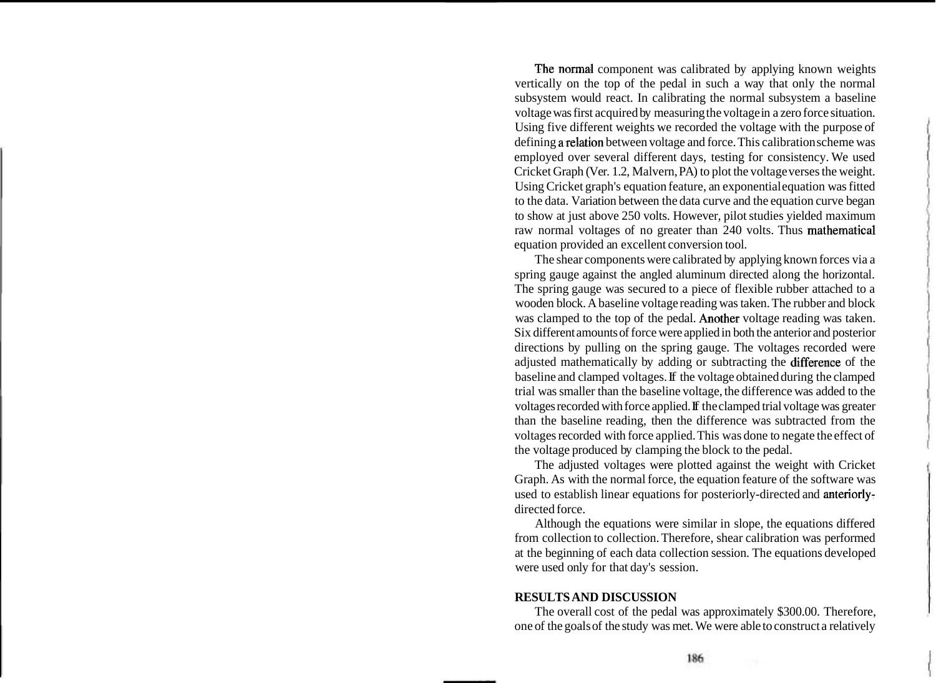The normal component was calibrated by applying known weights vertically on the top of the pedal in such a way that only the normal subsystem would react. In calibrating the normal subsystem a baseline voltage was first acquired by measuring the voltage in a zero force situation. Using five different weights we recorded the voltage with the purpose of defining arelation between voltage and force. This calibration scheme was employed over several different days, testing for consistency. We used Cricket Graph (Ver. 1.2, Malvern, PA) to plot the voltage verses the weight. Using Cricket graph's equation feature, an exponential equation was fitted to the data. Variation between the data curve and the equation curve began to show at just above 250 volts. However, pilot studies yielded maximum raw normal voltages of no greater than 240 volts. Thus mathematical equation provided an excellent conversion tool.

The shear components were calibrated by applying known forces via a spring gauge against the angled aluminum directed along the horizontal. The spring gauge was secured to a piece of flexible rubber attached to a wooden block. A baseline voltage reading was taken. The rubber and block was clamped to the top of the pedal. Another voltage reading was taken. Six different amounts of force were applied in both the anterior and posterior directions by pulling on the spring gauge. The voltages recorded were adjusted mathematically by adding or subtracting the difference of the baseline and clamped voltages. If the voltage obtained during the clamped trial was smaller than the baseline voltage, the difference was added to the voltages recorded with force applied. If the clamped trial voltage was greater than the baseline reading, then the difference was subtracted from the voltages recorded with force applied. This was done to negate the effect of the voltage produced by clamping the block to the pedal.

The adjusted voltages were plotted against the weight with Cricket Graph. As with the normal force, the equation feature of the software was used to establish linear equations for posteriorly-directed and anteriorlydirected force.

Although the equations were similar in slope, the equations differed from collection to collection. Therefore, shear calibration was performed at the beginning of each data collection session. The equations developed were used only for that day's session.

### **RESULTS AND DISCUSSION**

The overall cost of the pedal was approximately \$300.00. Therefore, one of the goals of the study was met. We were able to construct a relatively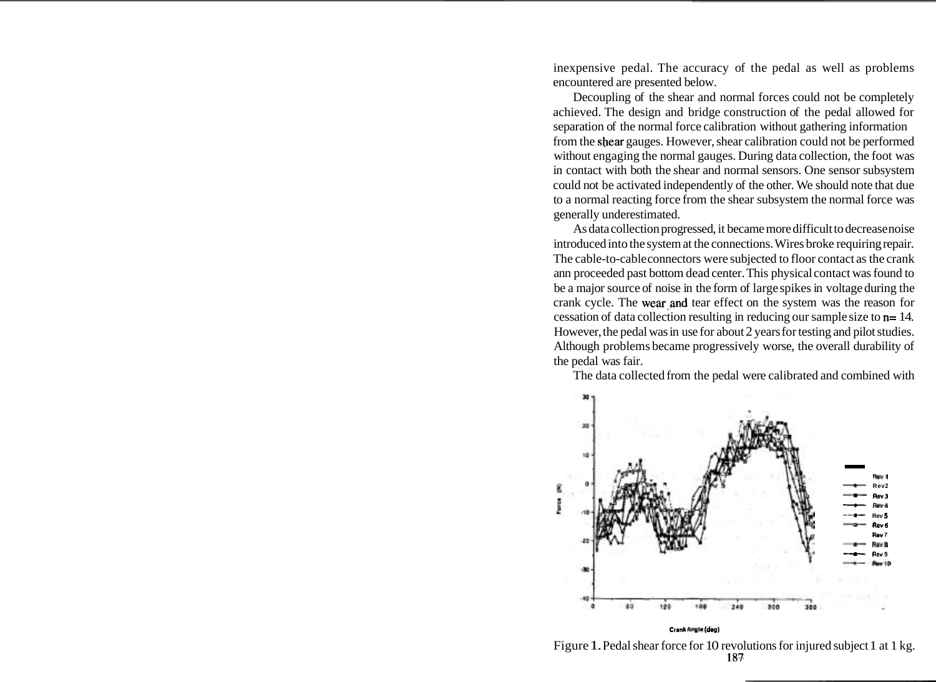inexpensive pedal. The accuracy of the pedal as well as problems encountered are presented below.

Decoupling of the shear and normal forces could not be completely achieved. The design and bridge construction of the pedal allowed for separation of the normal force calibration without gathering information from the shear gauges. However, shear calibration could not be performed without engaging the normal gauges. During data collection, the foot was in contact with both the shear and normal sensors. One sensor subsystem could not be activated independently of the other. We should note that due to a normal reacting force from the shear subsystem the normal force was generally underestimated.

As data collection progressed, it became more difficult to decrease noise introduced into the system at the connections. Wires broke requiring repair. The cable-to-cable connectors were subjected to floor contact as the crank ann proceeded past bottom dead center. This physical contact was found to be a major source of noise in the form of large spikes in voltage during the crank cycle. The wear and tear effect on the system was the reason for cessation of data collection resulting in reducing our sample size to n= 14. However, the pedal was in use for about 2 years for testing and pilot studies. Although problems became progressively worse, the overall durability of the pedal was fair.

The data collected from the pedal were calibrated and combined with



**Crank hgl\* (dog)** 

Figure 1. Pedal shear force for 10 revolutions for injured subject 1 at 1 kg. **187.**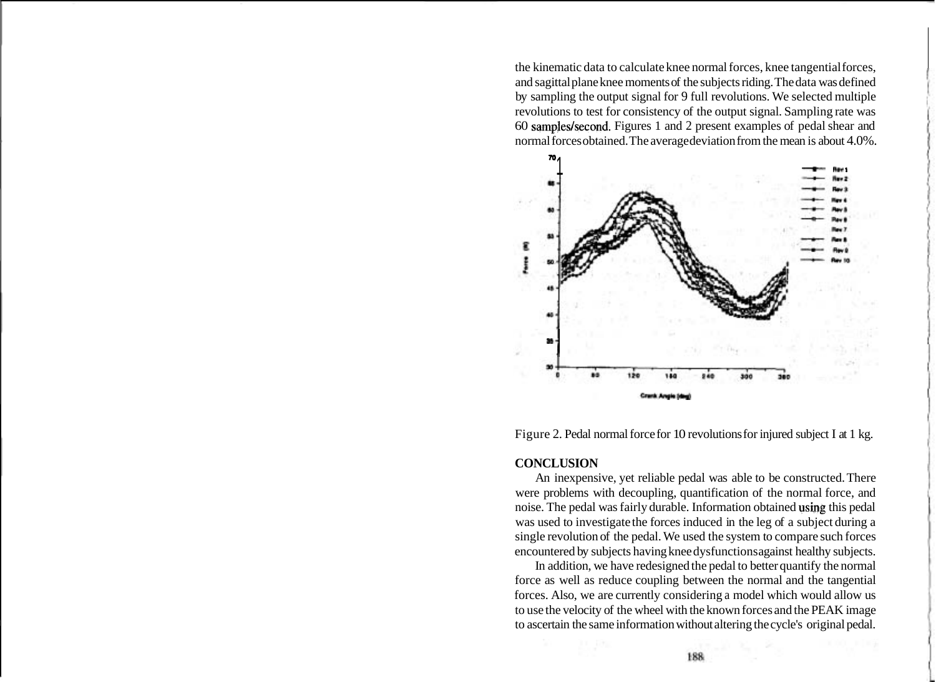the kinematic data to calculate knee normal forces, knee tangential forces, and sagittal plane knee moments of the subjects riding. The data was defined by sampling the output signal for 9 full revolutions. We selected multiple revolutions to test for consistency of the output signal. Sampling rate was 60 samples/second. Figures 1 and 2 present examples of pedal shear and normal forces obtained. The averagedeviation from the mean is about 4.0%. 60 samples/second. Figures 1 and 2 present examples of pedal shear and normal forces obtained. The average deviation from the mean is about 4.0%.





#### **CONCLUSION**

An inexpensive, yet reliable pedal was able to be constructed. There were problems with decoupling, quantification of the normal force, and noise. The pedal was fairly durable. Information obtained using this pedal was used to investigate the forces induced in the leg of a subject during a single revolution of the pedal. We used the system to compare such forces encountered by subjects having knee dysfunctions against healthy subjects.

In addition, we have redesigned the pedal to better quantify the normal force as well as reduce coupling between the normal and the tangential forces. Also, we are currently considering a model which would allow us to use the velocity of the wheel with the known forces and the PEAK image to ascertain the same information without altering the cycle's original pedal.